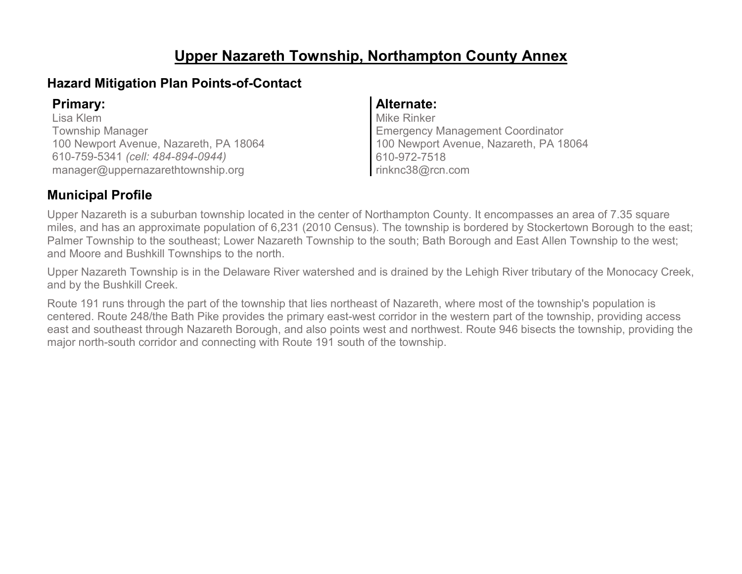### **Upper Nazareth Township, Northampton County Annex**

### **Hazard Mitigation Plan Points-of-Contact**

**Municipal Profile**

Lisa Klem Township Manager 100 Newport Avenue, Nazareth, PA 18064 610-759-5341 *(cell: 484-894-0944)* manager@uppernazarethtownship.org

#### **Primary: Alternate:**

Mike Rinker Emergency Management Coordinator 100 Newport Avenue, Nazareth, PA 18064 610-972-7518 rinknc38@rcn.com

Upper Nazareth is a suburban township located in the center of Northampton County. It encompasses an area of 7.35 square miles, and has an approximate population of 6,231 (2010 Census). The township is bordered by Stockertown Borough to the east; Palmer Township to the southeast; Lower Nazareth Township to the south; Bath Borough and East Allen Township to the west; and Moore and Bushkill Townships to the north.

Upper Nazareth Township is in the Delaware River watershed and is drained by the Lehigh River tributary of the Monocacy Creek, and by the Bushkill Creek.

Route 191 runs through the part of the township that lies northeast of Nazareth, where most of the township's population is centered. Route 248/the Bath Pike provides the primary east-west corridor in the western part of the township, providing access east and southeast through Nazareth Borough, and also points west and northwest. Route 946 bisects the township, providing the major north-south corridor and connecting with Route 191 south of the township.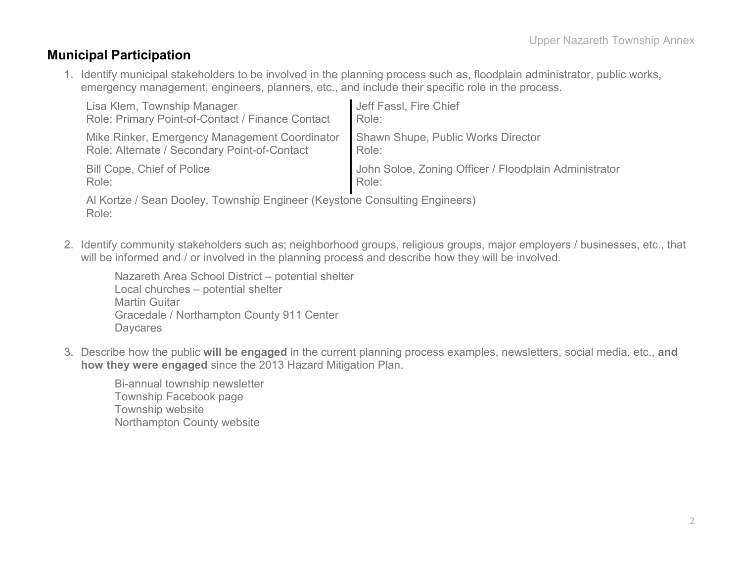#### **Municipal Participation**

1. Identify municipal stakeholders to be involved in the planning process such as, floodplain administrator, public works, emergency management, engineers, planners, etc., and include their specific role in the process.

| Lisa Klem, Township Manager                      | Jeff Fassl, Fire Chief                                |
|--------------------------------------------------|-------------------------------------------------------|
| Role: Primary Point-of-Contact / Finance Contact | Role:                                                 |
| Mike Rinker, Emergency Management Coordinator    | Shawn Shupe, Public Works Director                    |
| Role: Alternate / Secondary Point-of-Contact     | Role:                                                 |
| <b>Bill Cope, Chief of Police</b>                | John Soloe, Zoning Officer / Floodplain Administrator |
| Role:                                            | Role:                                                 |

Al Kortze / Sean Dooley, Township Engineer (Keystone Consulting Engineers) Role:

2. Identify community stakeholders such as; neighborhood groups, religious groups, major employers / businesses, etc., that will be informed and / or involved in the planning process and describe how they will be involved.

Nazareth Area School District – potential shelter Local churches – potential shelter Martin Guitar Gracedale / Northampton County 911 Center **Daycares** 

3. Describe how the public **will be engaged** in the current planning process examples, newsletters, social media, etc., **and how they were engaged** since the 2013 Hazard Mitigation Plan.

Bi-annual township newsletter Township Facebook page Township website Northampton County website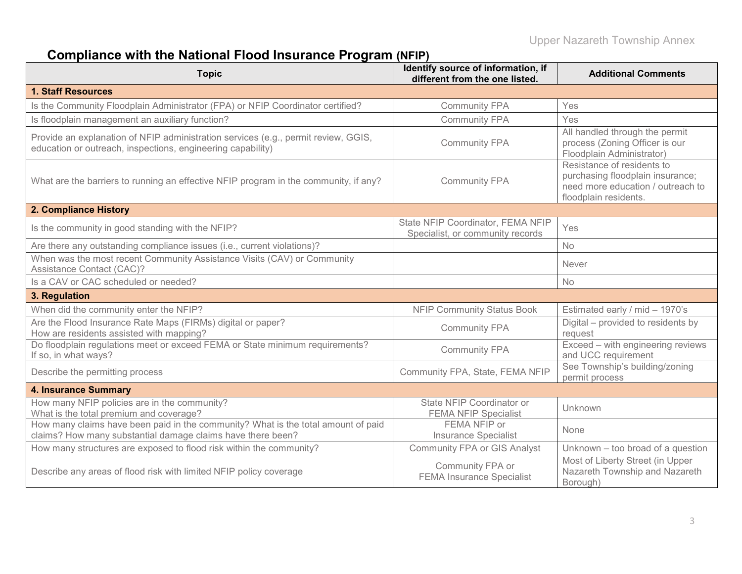# **Compliance with the National Flood Insurance Program (NFIP)**

| <b>Topic</b>                                                                                                                                      | Identify source of information, if<br>different from the one listed.  | <b>Additional Comments</b>                                                                                                   |
|---------------------------------------------------------------------------------------------------------------------------------------------------|-----------------------------------------------------------------------|------------------------------------------------------------------------------------------------------------------------------|
| <b>1. Staff Resources</b>                                                                                                                         |                                                                       |                                                                                                                              |
| Is the Community Floodplain Administrator (FPA) or NFIP Coordinator certified?                                                                    | <b>Community FPA</b>                                                  | Yes                                                                                                                          |
| Is floodplain management an auxiliary function?                                                                                                   | <b>Community FPA</b>                                                  | Yes                                                                                                                          |
| Provide an explanation of NFIP administration services (e.g., permit review, GGIS,<br>education or outreach, inspections, engineering capability) | <b>Community FPA</b>                                                  | All handled through the permit<br>process (Zoning Officer is our<br>Floodplain Administrator)                                |
| What are the barriers to running an effective NFIP program in the community, if any?                                                              | <b>Community FPA</b>                                                  | Resistance of residents to<br>purchasing floodplain insurance;<br>need more education / outreach to<br>floodplain residents. |
| 2. Compliance History                                                                                                                             |                                                                       |                                                                                                                              |
| Is the community in good standing with the NFIP?                                                                                                  | State NFIP Coordinator, FEMA NFIP<br>Specialist, or community records | Yes                                                                                                                          |
| Are there any outstanding compliance issues (i.e., current violations)?                                                                           |                                                                       | <b>No</b>                                                                                                                    |
| When was the most recent Community Assistance Visits (CAV) or Community<br>Assistance Contact (CAC)?                                              |                                                                       | Never                                                                                                                        |
| Is a CAV or CAC scheduled or needed?                                                                                                              |                                                                       | No                                                                                                                           |
| 3. Regulation                                                                                                                                     |                                                                       |                                                                                                                              |
| When did the community enter the NFIP?                                                                                                            | <b>NFIP Community Status Book</b>                                     | Estimated early / mid - 1970's                                                                                               |
| Are the Flood Insurance Rate Maps (FIRMs) digital or paper?<br>How are residents assisted with mapping?                                           | <b>Community FPA</b>                                                  | Digital - provided to residents by<br>request                                                                                |
| Do floodplain regulations meet or exceed FEMA or State minimum requirements?<br>If so, in what ways?                                              | <b>Community FPA</b>                                                  | Exceed - with engineering reviews<br>and UCC requirement                                                                     |
| Describe the permitting process                                                                                                                   | Community FPA, State, FEMA NFIP                                       | See Township's building/zoning<br>permit process                                                                             |
| <b>4. Insurance Summary</b>                                                                                                                       |                                                                       |                                                                                                                              |
| How many NFIP policies are in the community?<br>What is the total premium and coverage?                                                           | State NFIP Coordinator or<br><b>FEMA NFIP Specialist</b>              | Unknown                                                                                                                      |
| How many claims have been paid in the community? What is the total amount of paid<br>claims? How many substantial damage claims have there been?  | FEMA NFIP or<br><b>Insurance Specialist</b>                           | None                                                                                                                         |
| How many structures are exposed to flood risk within the community?                                                                               | <b>Community FPA or GIS Analyst</b>                                   | Unknown - too broad of a question                                                                                            |
| Describe any areas of flood risk with limited NFIP policy coverage                                                                                | Community FPA or<br><b>FEMA Insurance Specialist</b>                  | Most of Liberty Street (in Upper<br>Nazareth Township and Nazareth<br>Borough)                                               |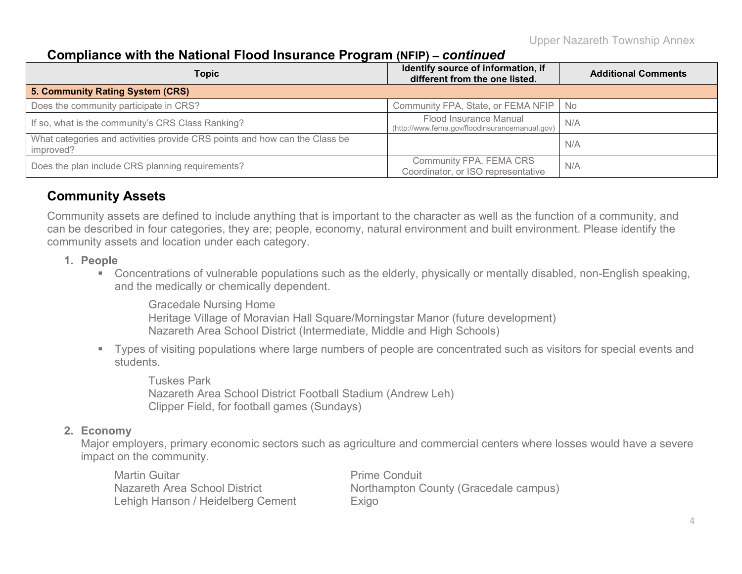### **Compliance with the National Flood Insurance Program (NFIP) –** *continued*

| Topic                                                                                   | Identify source of information, if<br>different from the one listed.     | <b>Additional Comments</b> |
|-----------------------------------------------------------------------------------------|--------------------------------------------------------------------------|----------------------------|
| 5. Community Rating System (CRS)                                                        |                                                                          |                            |
| Does the community participate in CRS?                                                  | Community FPA, State, or FEMA NFIP   No                                  |                            |
| If so, what is the community's CRS Class Ranking?                                       | Flood Insurance Manual<br>(http://www.fema.gov/floodinsurancemanual.gov) | N/A                        |
| What categories and activities provide CRS points and how can the Class be<br>improved? |                                                                          | N/A                        |
| Does the plan include CRS planning requirements?                                        | Community FPA, FEMA CRS<br>Coordinator, or ISO representative            | N/A                        |

### **Community Assets**

Community assets are defined to include anything that is important to the character as well as the function of a community, and can be described in four categories, they are; people, economy, natural environment and built environment. Please identify the community assets and location under each category.

#### **1. People**

 Concentrations of vulnerable populations such as the elderly, physically or mentally disabled, non-English speaking, and the medically or chemically dependent.

Gracedale Nursing Home Heritage Village of Moravian Hall Square/Morningstar Manor (future development) Nazareth Area School District (Intermediate, Middle and High Schools)

 Types of visiting populations where large numbers of people are concentrated such as visitors for special events and students.

Tuskes Park Nazareth Area School District Football Stadium (Andrew Leh) Clipper Field, for football games (Sundays)

#### **2. Economy**

Major employers, primary economic sectors such as agriculture and commercial centers where losses would have a severe impact on the community.

| <b>Martin Guitar</b>              | <b>Prime Conduit</b>                  |
|-----------------------------------|---------------------------------------|
| Nazareth Area School District     | Northampton County (Gracedale campus) |
| Lehigh Hanson / Heidelberg Cement | Exigo                                 |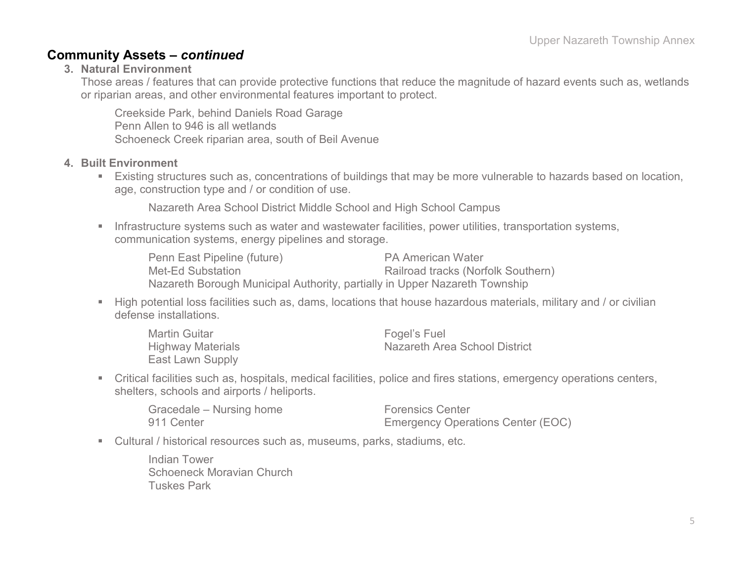#### **Community Assets –** *continued*

#### **3. Natural Environment**

Those areas / features that can provide protective functions that reduce the magnitude of hazard events such as, wetlands or riparian areas, and other environmental features important to protect.

Creekside Park, behind Daniels Road Garage Penn Allen to 946 is all wetlands Schoeneck Creek riparian area, south of Beil Avenue

#### **4. Built Environment**

 Existing structures such as, concentrations of buildings that may be more vulnerable to hazards based on location, age, construction type and / or condition of use.

Nazareth Area School District Middle School and High School Campus

**Infrastructure systems such as water and wastewater facilities, power utilities, transportation systems,** communication systems, energy pipelines and storage.

| Penn East Pipeline (future)                                                | <b>PA American Water</b>           |
|----------------------------------------------------------------------------|------------------------------------|
| Met-Ed Substation                                                          | Railroad tracks (Norfolk Southern) |
| Nazareth Borough Municipal Authority, partially in Upper Nazareth Township |                                    |

 High potential loss facilities such as, dams, locations that house hazardous materials, military and / or civilian defense installations.

| Martin Guitar     | Fogel's Fuel                  |
|-------------------|-------------------------------|
| Highway Materials | Nazareth Area School District |
| East Lawn Supply  |                               |

 Critical facilities such as, hospitals, medical facilities, police and fires stations, emergency operations centers, shelters, schools and airports / heliports.

| Gracedale – Nursing home | <b>Forensics Center</b>                  |
|--------------------------|------------------------------------------|
| 911 Center               | <b>Emergency Operations Center (EOC)</b> |

Cultural / historical resources such as, museums, parks, stadiums, etc.

Indian Tower Schoeneck Moravian Church Tuskes Park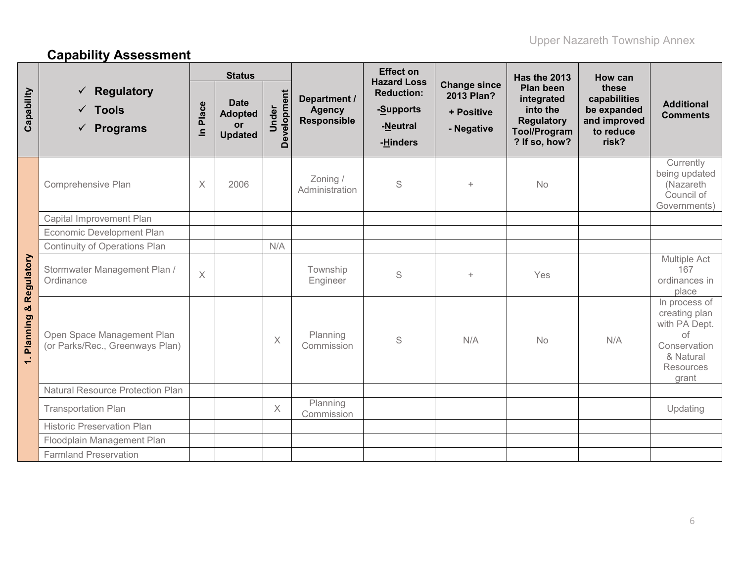# **Capability Assessment**

|                                            |                                                                       | <b>Status</b>         |                                                              |                      |                                              | <b>Effect on</b><br><b>Hazard Loss</b>                 |                                                               | Has the 2013                                                                                     | How can                                                                    |                                                                                                          |
|--------------------------------------------|-----------------------------------------------------------------------|-----------------------|--------------------------------------------------------------|----------------------|----------------------------------------------|--------------------------------------------------------|---------------------------------------------------------------|--------------------------------------------------------------------------------------------------|----------------------------------------------------------------------------|----------------------------------------------------------------------------------------------------------|
| Capability                                 | <b>Regulatory</b><br>✓<br>$\checkmark$ Tools<br>$\checkmark$ Programs | Place<br>$\mathbf{a}$ | <b>Date</b><br><b>Adopted</b><br><b>or</b><br><b>Updated</b> | Development<br>Under | Department /<br><b>Agency</b><br>Responsible | <b>Reduction:</b><br>-Supports<br>-Neutral<br>-Hinders | <b>Change since</b><br>2013 Plan?<br>+ Positive<br>- Negative | Plan been<br>integrated<br>into the<br><b>Regulatory</b><br><b>Tool/Program</b><br>? If so, how? | these<br>capabilities<br>be expanded<br>and improved<br>to reduce<br>risk? | <b>Additional</b><br><b>Comments</b>                                                                     |
|                                            | Comprehensive Plan                                                    | $\times$              | 2006                                                         |                      | Zoning /<br>Administration                   | S                                                      | $+$                                                           | <b>No</b>                                                                                        |                                                                            | Currently<br>being updated<br>(Nazareth<br>Council of<br>Governments)                                    |
|                                            | Capital Improvement Plan                                              |                       |                                                              |                      |                                              |                                                        |                                                               |                                                                                                  |                                                                            |                                                                                                          |
|                                            | Economic Development Plan                                             |                       |                                                              |                      |                                              |                                                        |                                                               |                                                                                                  |                                                                            |                                                                                                          |
| <b>Planning &amp; Regulatory</b><br>$\div$ | Continuity of Operations Plan                                         |                       |                                                              | N/A                  |                                              |                                                        |                                                               |                                                                                                  |                                                                            |                                                                                                          |
|                                            | Stormwater Management Plan /<br>Ordinance                             | $\sf X$               |                                                              |                      | Township<br>Engineer                         | S                                                      | $+$                                                           | Yes                                                                                              |                                                                            | Multiple Act<br>167<br>ordinances in<br>place                                                            |
|                                            | Open Space Management Plan<br>(or Parks/Rec., Greenways Plan)         |                       |                                                              | X                    | Planning<br>Commission                       | S                                                      | N/A                                                           | No                                                                                               | N/A                                                                        | In process of<br>creating plan<br>with PA Dept.<br>of<br>Conservation<br>& Natural<br>Resources<br>grant |
|                                            | <b>Natural Resource Protection Plan</b>                               |                       |                                                              |                      |                                              |                                                        |                                                               |                                                                                                  |                                                                            |                                                                                                          |
|                                            | <b>Transportation Plan</b>                                            |                       |                                                              | $\times$             | Planning<br>Commission                       |                                                        |                                                               |                                                                                                  |                                                                            | Updating                                                                                                 |
|                                            | <b>Historic Preservation Plan</b>                                     |                       |                                                              |                      |                                              |                                                        |                                                               |                                                                                                  |                                                                            |                                                                                                          |
|                                            | Floodplain Management Plan                                            |                       |                                                              |                      |                                              |                                                        |                                                               |                                                                                                  |                                                                            |                                                                                                          |
|                                            | <b>Farmland Preservation</b>                                          |                       |                                                              |                      |                                              |                                                        |                                                               |                                                                                                  |                                                                            |                                                                                                          |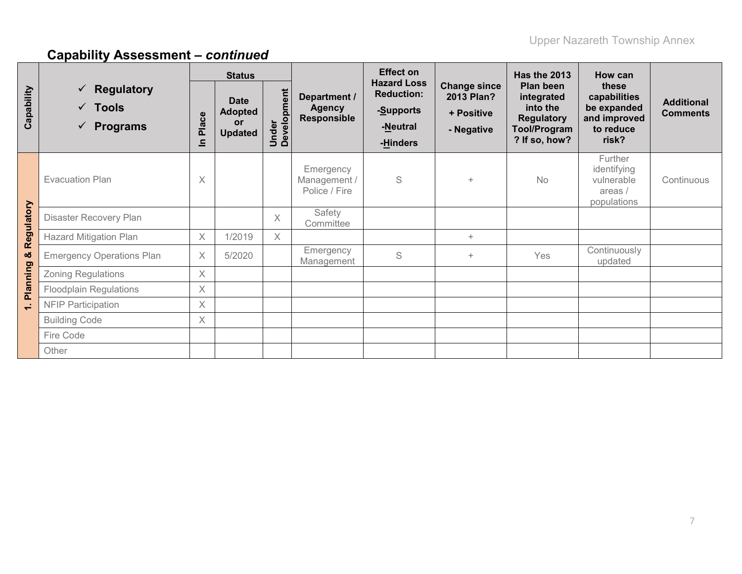|                 |                                                                                | <b>Status</b> |                                                       |                      |                                                     | <b>Effect on</b>                                                             |                                                               | <b>Has the 2013</b>                                                                              | How can                                                                    |                                      |
|-----------------|--------------------------------------------------------------------------------|---------------|-------------------------------------------------------|----------------------|-----------------------------------------------------|------------------------------------------------------------------------------|---------------------------------------------------------------|--------------------------------------------------------------------------------------------------|----------------------------------------------------------------------------|--------------------------------------|
| Capability      | $\checkmark$ Regulatory<br>$\sqrt{ }$ Tools<br><b>Programs</b><br>$\checkmark$ | Place<br>드    | <b>Date</b><br><b>Adopted</b><br>or<br><b>Updated</b> | Under<br>Development | Department /<br><b>Agency</b><br><b>Responsible</b> | <b>Hazard Loss</b><br><b>Reduction:</b><br>-Supports<br>-Neutral<br>-Hinders | <b>Change since</b><br>2013 Plan?<br>+ Positive<br>- Negative | Plan been<br>integrated<br>into the<br><b>Regulatory</b><br><b>Tool/Program</b><br>? If so, how? | these<br>capabilities<br>be expanded<br>and improved<br>to reduce<br>risk? | <b>Additional</b><br><b>Comments</b> |
| Regulatory      | <b>Evacuation Plan</b>                                                         | $\times$      |                                                       |                      | Emergency<br>Management /<br>Police / Fire          | S                                                                            | $\ddot{}$                                                     | <b>No</b>                                                                                        | Further<br>identifying<br>vulnerable<br>areas /<br>populations             | Continuous                           |
|                 | Disaster Recovery Plan                                                         |               |                                                       | $\times$             | Safety<br>Committee                                 |                                                                              |                                                               |                                                                                                  |                                                                            |                                      |
|                 | <b>Hazard Mitigation Plan</b>                                                  | $\times$      | 1/2019                                                | X                    |                                                     |                                                                              | $\ddot{}$                                                     |                                                                                                  |                                                                            |                                      |
| ఱ               | <b>Emergency Operations Plan</b>                                               | $\times$      | 5/2020                                                |                      | Emergency<br>Management                             | S                                                                            | $+$                                                           | Yes                                                                                              | Continuously<br>updated                                                    |                                      |
| <b>Planning</b> | <b>Zoning Regulations</b>                                                      | $\times$      |                                                       |                      |                                                     |                                                                              |                                                               |                                                                                                  |                                                                            |                                      |
|                 | <b>Floodplain Regulations</b>                                                  | $\chi$        |                                                       |                      |                                                     |                                                                              |                                                               |                                                                                                  |                                                                            |                                      |
| $\div$          | <b>NFIP Participation</b>                                                      | $\times$      |                                                       |                      |                                                     |                                                                              |                                                               |                                                                                                  |                                                                            |                                      |
|                 | <b>Building Code</b>                                                           | $\times$      |                                                       |                      |                                                     |                                                                              |                                                               |                                                                                                  |                                                                            |                                      |
|                 | Fire Code                                                                      |               |                                                       |                      |                                                     |                                                                              |                                                               |                                                                                                  |                                                                            |                                      |
|                 | Other                                                                          |               |                                                       |                      |                                                     |                                                                              |                                                               |                                                                                                  |                                                                            |                                      |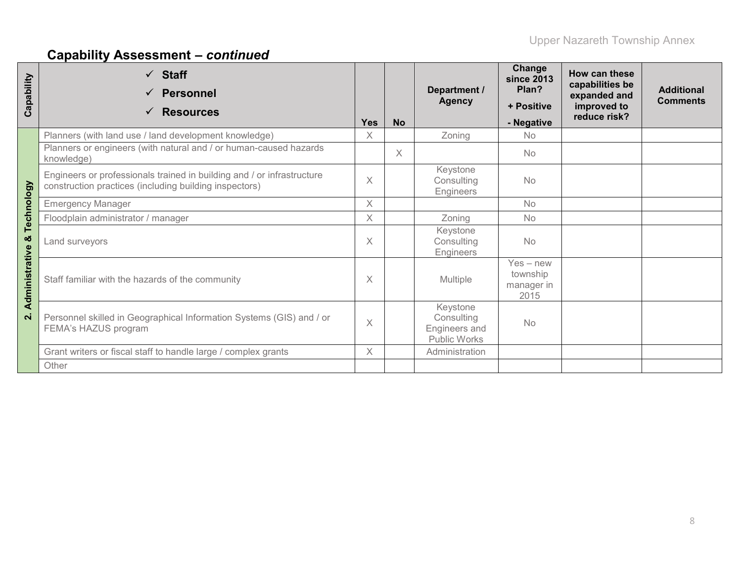| Capability          | $\checkmark$ Staff<br><b>Personnel</b><br><b>Resources</b>                                                                       | <b>Yes</b> | <b>No</b> | Department /<br><b>Agency</b>                           | Change<br><b>since 2013</b><br>Plan?<br>+ Positive<br>- Negative | How can these<br>capabilities be<br>expanded and<br>improved to<br>reduce risk? | <b>Additional</b><br><b>Comments</b> |
|---------------------|----------------------------------------------------------------------------------------------------------------------------------|------------|-----------|---------------------------------------------------------|------------------------------------------------------------------|---------------------------------------------------------------------------------|--------------------------------------|
|                     | Planners (with land use / land development knowledge)                                                                            | X          |           | Zoning                                                  | <b>No</b>                                                        |                                                                                 |                                      |
|                     | Planners or engineers (with natural and / or human-caused hazards<br>knowledge)                                                  |            | $\times$  |                                                         | <b>No</b>                                                        |                                                                                 |                                      |
| Technology          | Engineers or professionals trained in building and / or infrastructure<br>construction practices (including building inspectors) | X          |           | Keystone<br>Consulting<br>Engineers                     | <b>No</b>                                                        |                                                                                 |                                      |
|                     | <b>Emergency Manager</b>                                                                                                         | $\times$   |           |                                                         | <b>No</b>                                                        |                                                                                 |                                      |
|                     | Floodplain administrator / manager                                                                                               | X          |           | Zoning                                                  | <b>No</b>                                                        |                                                                                 |                                      |
| ೲ<br>Administrative | Land surveyors                                                                                                                   | $\times$   |           | Keystone<br>Consulting<br>Engineers                     | <b>No</b>                                                        |                                                                                 |                                      |
|                     | Staff familiar with the hazards of the community                                                                                 | Χ          |           | Multiple                                                | $Yes - new$<br>township<br>manager in<br>2015                    |                                                                                 |                                      |
| $\dot{\mathbf{v}}$  | Personnel skilled in Geographical Information Systems (GIS) and / or<br>FEMA's HAZUS program                                     | $\times$   |           | Keystone<br>Consulting<br>Engineers and<br>Public Works | <b>No</b>                                                        |                                                                                 |                                      |
|                     | Grant writers or fiscal staff to handle large / complex grants                                                                   | $\times$   |           | Administration                                          |                                                                  |                                                                                 |                                      |
|                     | Other                                                                                                                            |            |           |                                                         |                                                                  |                                                                                 |                                      |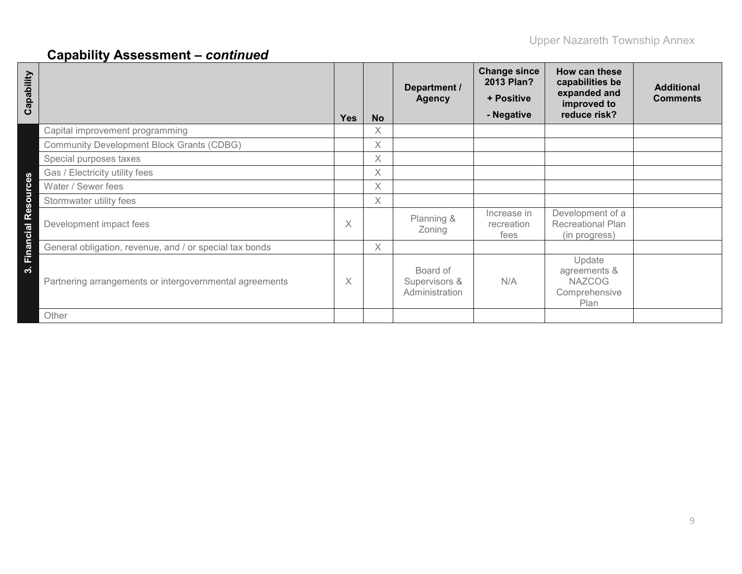| Capability          |                                                         | <b>Yes</b> | <b>No</b> | Department /<br><b>Agency</b>               | <b>Change since</b><br>2013 Plan?<br>+ Positive<br>- Negative | How can these<br>capabilities be<br>expanded and<br>improved to<br>reduce risk? | <b>Additional</b><br><b>Comments</b> |
|---------------------|---------------------------------------------------------|------------|-----------|---------------------------------------------|---------------------------------------------------------------|---------------------------------------------------------------------------------|--------------------------------------|
|                     | Capital improvement programming                         |            | X         |                                             |                                                               |                                                                                 |                                      |
|                     | <b>Community Development Block Grants (CDBG)</b>        |            | $\times$  |                                             |                                                               |                                                                                 |                                      |
|                     | Special purposes taxes                                  |            | $\chi$    |                                             |                                                               |                                                                                 |                                      |
|                     | Gas / Electricity utility fees                          |            | $\chi$    |                                             |                                                               |                                                                                 |                                      |
|                     | Water / Sewer fees                                      |            | $\times$  |                                             |                                                               |                                                                                 |                                      |
|                     | Stormwater utility fees                                 |            | $\chi$    |                                             |                                                               |                                                                                 |                                      |
| Financial Resources | Development impact fees                                 | X          |           | Planning &<br>Zoning                        | Increase in<br>recreation<br>fees                             | Development of a<br><b>Recreational Plan</b><br>(in progress)                   |                                      |
|                     | General obligation, revenue, and / or special tax bonds |            | $\times$  |                                             |                                                               |                                                                                 |                                      |
| ∾.                  | Partnering arrangements or intergovernmental agreements | X          |           | Board of<br>Supervisors &<br>Administration | N/A                                                           | Update<br>agreements &<br><b>NAZCOG</b><br>Comprehensive<br>Plan                |                                      |
|                     | Other                                                   |            |           |                                             |                                                               |                                                                                 |                                      |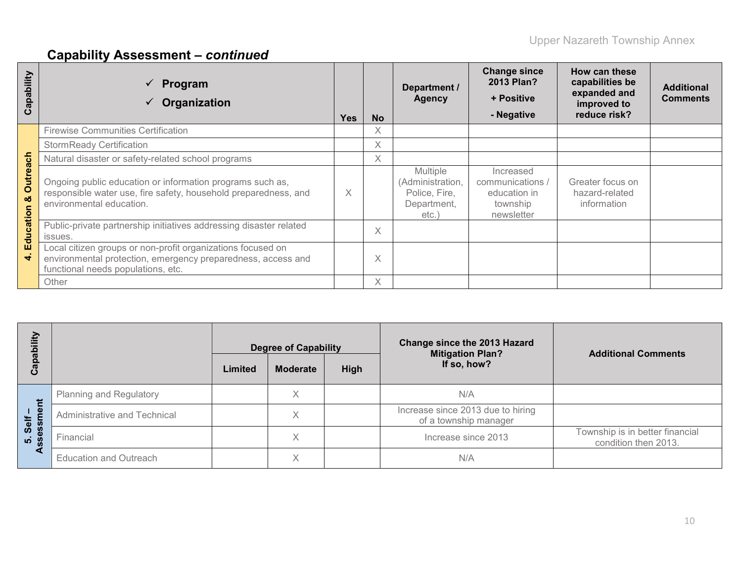| Capability           | Program<br>Organization                                                                                                                                           | <b>Yes</b> | <b>No</b> | Department /<br><b>Agency</b>                                               | <b>Change since</b><br>2013 Plan?<br>+ Positive<br>- Negative           | How can these<br>capabilities be<br>expanded and<br>improved to<br>reduce risk? | <b>Additional</b><br><b>Comments</b> |
|----------------------|-------------------------------------------------------------------------------------------------------------------------------------------------------------------|------------|-----------|-----------------------------------------------------------------------------|-------------------------------------------------------------------------|---------------------------------------------------------------------------------|--------------------------------------|
|                      | <b>Firewise Communities Certification</b>                                                                                                                         |            | $\times$  |                                                                             |                                                                         |                                                                                 |                                      |
|                      | <b>StormReady Certification</b>                                                                                                                                   |            | X         |                                                                             |                                                                         |                                                                                 |                                      |
|                      | Natural disaster or safety-related school programs                                                                                                                |            | X         |                                                                             |                                                                         |                                                                                 |                                      |
| <b>Outreach</b><br>ಜ | Ongoing public education or information programs such as,<br>responsible water use, fire safety, household preparedness, and<br>environmental education.          | X          |           | <b>Multiple</b><br>(Administration,<br>Police, Fire,<br>Department,<br>etc. | Increased<br>communications /<br>education in<br>township<br>newsletter | Greater focus on<br>hazard-related<br>information                               |                                      |
| Education            | Public-private partnership initiatives addressing disaster related<br>issues.                                                                                     |            | $\times$  |                                                                             |                                                                         |                                                                                 |                                      |
|                      | Local citizen groups or non-profit organizations focused on<br>environmental protection, emergency preparedness, access and<br>functional needs populations, etc. |            | X         |                                                                             |                                                                         |                                                                                 |                                      |
|                      | Other                                                                                                                                                             |            | X         |                                                                             |                                                                         |                                                                                 |                                      |

|                         |                                |         | <b>Degree of Capability</b> |      | Change since the 2013 Hazard<br><b>Mitigation Plan?</b>    | <b>Additional Comments</b>                              |  |  |
|-------------------------|--------------------------------|---------|-----------------------------|------|------------------------------------------------------------|---------------------------------------------------------|--|--|
| ٽ                       |                                | Limited | <b>Moderate</b>             | High | If so, how?                                                |                                                         |  |  |
| だ                       | <b>Planning and Regulatory</b> |         | X                           |      | N/A                                                        |                                                         |  |  |
| ு<br>生                  | Administrative and Technical   |         | X                           |      | Increase since 2013 due to hiring<br>of a township manager |                                                         |  |  |
| <b>G</b> el<br>ğ<br>LO. | Financial                      |         | X                           |      | Increase since 2013                                        | Township is in better financial<br>condition then 2013. |  |  |
|                         | <b>Education and Outreach</b>  |         | X                           |      | N/A                                                        |                                                         |  |  |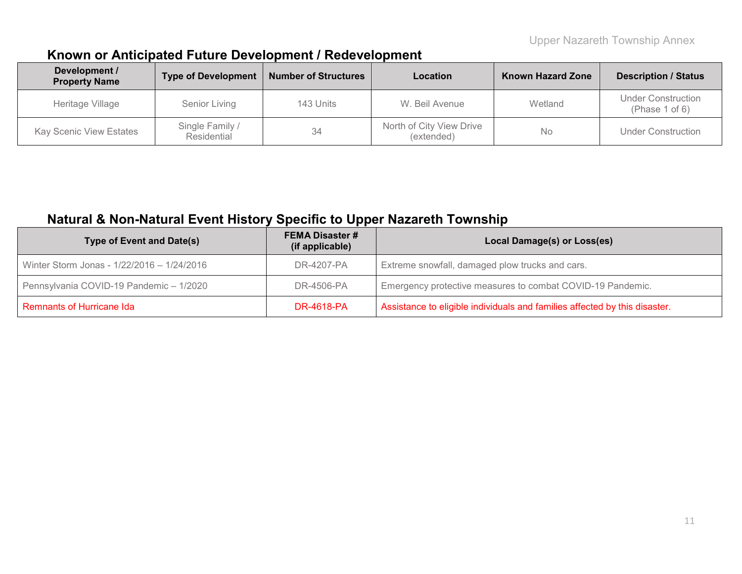### **Known or Anticipated Future Development / Redevelopment**

| Development /<br><b>Property Name</b> | <b>Type of Development</b>     | <b>Number of Structures</b> | Location                               | <b>Known Hazard Zone</b> | <b>Description / Status</b>                 |
|---------------------------------------|--------------------------------|-----------------------------|----------------------------------------|--------------------------|---------------------------------------------|
| Heritage Village                      | Senior Living<br>143 Units     |                             | W. Beil Avenue                         | Wetland                  | <b>Under Construction</b><br>(Phase 1 of 6) |
| <b>Kay Scenic View Estates</b>        | Single Family /<br>Residential | 34                          | North of City View Drive<br>(extended) | No                       | <b>Under Construction</b>                   |

### **Natural & Non-Natural Event History Specific to Upper Nazareth Township**

| <b>Type of Event and Date(s)</b>           | <b>FEMA Disaster #</b><br>(if applicable) | Local Damage(s) or Loss(es)                                                |  |  |  |  |
|--------------------------------------------|-------------------------------------------|----------------------------------------------------------------------------|--|--|--|--|
| Winter Storm Jonas - 1/22/2016 - 1/24/2016 | DR-4207-PA                                | Extreme snowfall, damaged plow trucks and cars.                            |  |  |  |  |
| Pennsylvania COVID-19 Pandemic - 1/2020    | DR-4506-PA                                | Emergency protective measures to combat COVID-19 Pandemic.                 |  |  |  |  |
| Remnants of Hurricane Ida                  | <b>DR-4618-PA</b>                         | Assistance to eligible individuals and families affected by this disaster. |  |  |  |  |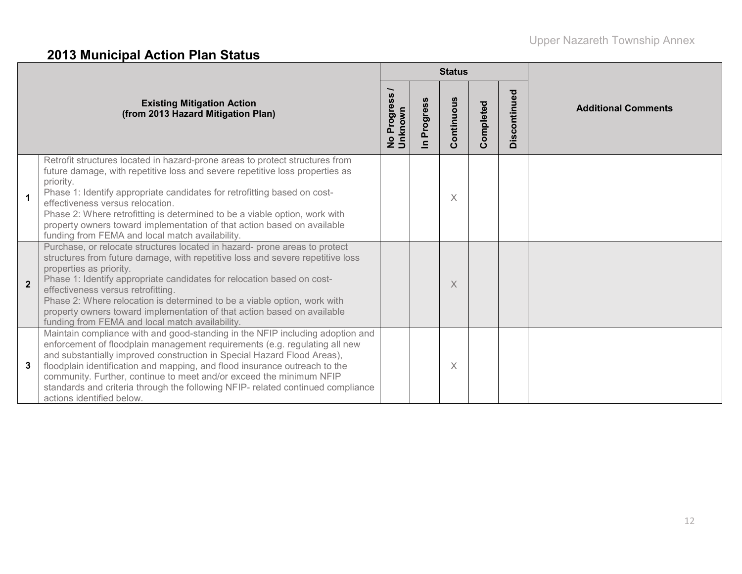# **2013 Municipal Action Plan Status**

|                |                                                                                                                                                                                                                                                                                                                                                                                                                                                                                                                  |                        |                            | <b>Status</b> |           |              |                            |
|----------------|------------------------------------------------------------------------------------------------------------------------------------------------------------------------------------------------------------------------------------------------------------------------------------------------------------------------------------------------------------------------------------------------------------------------------------------------------------------------------------------------------------------|------------------------|----------------------------|---------------|-----------|--------------|----------------------------|
|                | <b>Existing Mitigation Action</b><br>(from 2013 Hazard Mitigation Plan)                                                                                                                                                                                                                                                                                                                                                                                                                                          | No Progress<br>Unknown | Progress<br>$\overline{=}$ | Continuous    | Completed | Discontinued | <b>Additional Comments</b> |
| $\mathbf 1$    | Retrofit structures located in hazard-prone areas to protect structures from<br>future damage, with repetitive loss and severe repetitive loss properties as<br>priority.<br>Phase 1: Identify appropriate candidates for retrofitting based on cost-<br>effectiveness versus relocation.<br>Phase 2: Where retrofitting is determined to be a viable option, work with<br>property owners toward implementation of that action based on available<br>funding from FEMA and local match availability.            |                        |                            | Χ             |           |              |                            |
| $\overline{2}$ | Purchase, or relocate structures located in hazard-prone areas to protect<br>structures from future damage, with repetitive loss and severe repetitive loss<br>properties as priority.<br>Phase 1: Identify appropriate candidates for relocation based on cost-<br>effectiveness versus retrofitting.<br>Phase 2: Where relocation is determined to be a viable option, work with<br>property owners toward implementation of that action based on available<br>funding from FEMA and local match availability. |                        |                            | X             |           |              |                            |
| 3              | Maintain compliance with and good-standing in the NFIP including adoption and<br>enforcement of floodplain management requirements (e.g. regulating all new<br>and substantially improved construction in Special Hazard Flood Areas),<br>floodplain identification and mapping, and flood insurance outreach to the<br>community. Further, continue to meet and/or exceed the minimum NFIP<br>standards and criteria through the following NFIP- related continued compliance<br>actions identified below.      |                        |                            | Χ             |           |              |                            |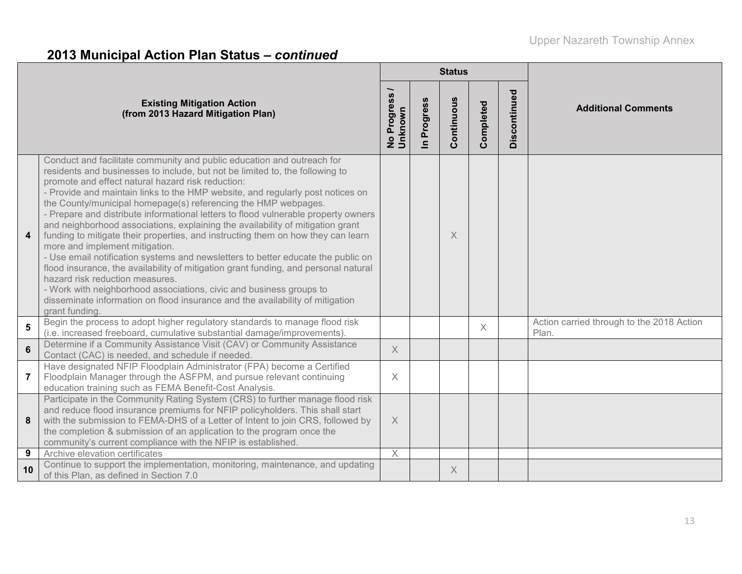# **2013 Municipal Action Plan Status –** *continued*

|                         |                                                                                                                                                                                                                                                                                                                                                                                                                                                                                                                                                                                                                                                                                                                                                                                                                                                                                                                                                                                                                                                       |                               |                      | <b>Status</b> |           |              |                                                    |
|-------------------------|-------------------------------------------------------------------------------------------------------------------------------------------------------------------------------------------------------------------------------------------------------------------------------------------------------------------------------------------------------------------------------------------------------------------------------------------------------------------------------------------------------------------------------------------------------------------------------------------------------------------------------------------------------------------------------------------------------------------------------------------------------------------------------------------------------------------------------------------------------------------------------------------------------------------------------------------------------------------------------------------------------------------------------------------------------|-------------------------------|----------------------|---------------|-----------|--------------|----------------------------------------------------|
|                         | <b>Existing Mitigation Action</b><br>(from 2013 Hazard Mitigation Plan)                                                                                                                                                                                                                                                                                                                                                                                                                                                                                                                                                                                                                                                                                                                                                                                                                                                                                                                                                                               | No Progress<br><b>Unknown</b> | Progress<br>$\equiv$ | Continuous    | Completed | Discontinued | <b>Additional Comments</b>                         |
| 4                       | Conduct and facilitate community and public education and outreach for<br>residents and businesses to include, but not be limited to, the following to<br>promote and effect natural hazard risk reduction:<br>- Provide and maintain links to the HMP website, and regularly post notices on<br>the County/municipal homepage(s) referencing the HMP webpages.<br>- Prepare and distribute informational letters to flood vulnerable property owners<br>and neighborhood associations, explaining the availability of mitigation grant<br>funding to mitigate their properties, and instructing them on how they can learn<br>more and implement mitigation.<br>- Use email notification systems and newsletters to better educate the public on<br>flood insurance, the availability of mitigation grant funding, and personal natural<br>hazard risk reduction measures.<br>- Work with neighborhood associations, civic and business groups to<br>disseminate information on flood insurance and the availability of mitigation<br>grant funding. |                               |                      | X             |           |              |                                                    |
| $\overline{\mathbf{5}}$ | Begin the process to adopt higher regulatory standards to manage flood risk<br>(i.e. increased freeboard, cumulative substantial damage/improvements).                                                                                                                                                                                                                                                                                                                                                                                                                                                                                                                                                                                                                                                                                                                                                                                                                                                                                                |                               |                      |               | $\times$  |              | Action carried through to the 2018 Action<br>Plan. |
| $6\phantom{a}$          | Determine if a Community Assistance Visit (CAV) or Community Assistance<br>Contact (CAC) is needed, and schedule if needed.                                                                                                                                                                                                                                                                                                                                                                                                                                                                                                                                                                                                                                                                                                                                                                                                                                                                                                                           | $\boldsymbol{\mathsf{X}}$     |                      |               |           |              |                                                    |
| $\overline{7}$          | Have designated NFIP Floodplain Administrator (FPA) become a Certified<br>Floodplain Manager through the ASFPM, and pursue relevant continuing<br>education training such as FEMA Benefit-Cost Analysis.                                                                                                                                                                                                                                                                                                                                                                                                                                                                                                                                                                                                                                                                                                                                                                                                                                              | $\times$                      |                      |               |           |              |                                                    |
| 8                       | Participate in the Community Rating System (CRS) to further manage flood risk<br>and reduce flood insurance premiums for NFIP policyholders. This shall start<br>with the submission to FEMA-DHS of a Letter of Intent to join CRS, followed by<br>the completion & submission of an application to the program once the<br>community's current compliance with the NFIP is established.                                                                                                                                                                                                                                                                                                                                                                                                                                                                                                                                                                                                                                                              | $\times$                      |                      |               |           |              |                                                    |
| 9                       | Archive elevation certificates                                                                                                                                                                                                                                                                                                                                                                                                                                                                                                                                                                                                                                                                                                                                                                                                                                                                                                                                                                                                                        | $\boldsymbol{\times}$         |                      |               |           |              |                                                    |
| 10                      | Continue to support the implementation, monitoring, maintenance, and updating<br>of this Plan, as defined in Section 7.0                                                                                                                                                                                                                                                                                                                                                                                                                                                                                                                                                                                                                                                                                                                                                                                                                                                                                                                              |                               |                      | X             |           |              |                                                    |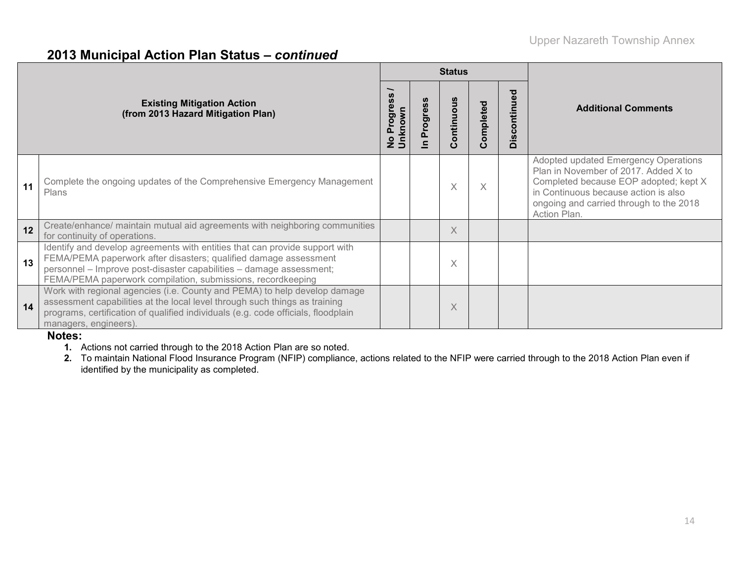#### **2013 Municipal Action Plan Status –** *continued*

|    |                                                                                                                                                                                                                                                                                       |                                      |                      | <b>Status</b> |           |              |                                                                                                                                                                                                                          |
|----|---------------------------------------------------------------------------------------------------------------------------------------------------------------------------------------------------------------------------------------------------------------------------------------|--------------------------------------|----------------------|---------------|-----------|--------------|--------------------------------------------------------------------------------------------------------------------------------------------------------------------------------------------------------------------------|
|    | <b>Existing Mitigation Action</b><br>(from 2013 Hazard Mitigation Plan)                                                                                                                                                                                                               | Progress<br>Unknown<br>$\frac{1}{2}$ | Progress<br>$\equiv$ | Continuous    | Completed | Discontinued | <b>Additional Comments</b>                                                                                                                                                                                               |
| 11 | Complete the ongoing updates of the Comprehensive Emergency Management<br><b>Plans</b>                                                                                                                                                                                                |                                      |                      | X             | X         |              | Adopted updated Emergency Operations<br>Plan in November of 2017. Added X to<br>Completed because EOP adopted; kept X<br>in Continuous because action is also<br>ongoing and carried through to the 2018<br>Action Plan. |
| 12 | Create/enhance/ maintain mutual aid agreements with neighboring communities<br>for continuity of operations.                                                                                                                                                                          |                                      |                      | X             |           |              |                                                                                                                                                                                                                          |
| 13 | Identify and develop agreements with entities that can provide support with<br>FEMA/PEMA paperwork after disasters; qualified damage assessment<br>personnel - Improve post-disaster capabilities - damage assessment;<br>FEMA/PEMA paperwork compilation, submissions, recordkeeping |                                      |                      | $\times$      |           |              |                                                                                                                                                                                                                          |
| 14 | Work with regional agencies (i.e. County and PEMA) to help develop damage<br>assessment capabilities at the local level through such things as training<br>programs, certification of qualified individuals (e.g. code officials, floodplain<br>managers, engineers).                 |                                      |                      | Χ             |           |              |                                                                                                                                                                                                                          |

#### **Notes:**

- **1.** Actions not carried through to the 2018 Action Plan are so noted.
- **2.** To maintain National Flood Insurance Program (NFIP) compliance, actions related to the NFIP were carried through to the 2018 Action Plan even if identified by the municipality as completed.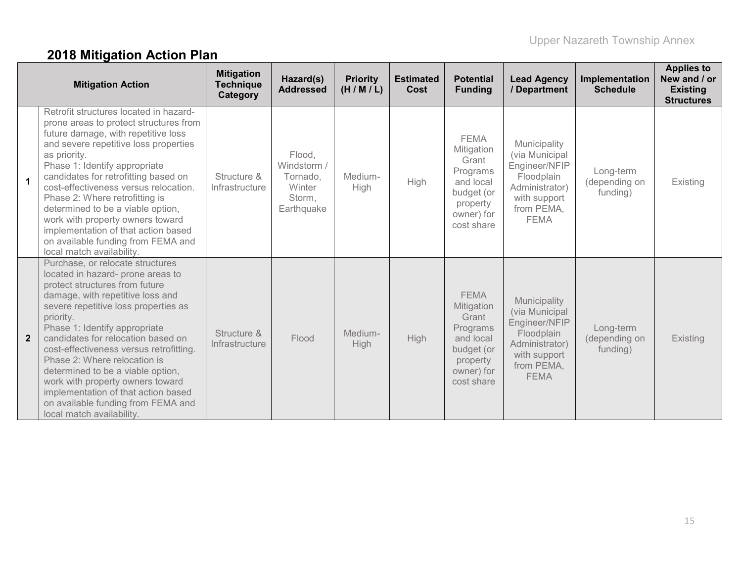# **2018 Mitigation Action Plan**

|                | <b>Mitigation Action</b>                                                                                                                                                                                                                                                                                                                                                                                                                                                                                                              | <b>Mitigation</b><br><b>Technique</b><br>Category | Hazard(s)<br><b>Addressed</b>                                       | <b>Priority</b><br>(H/M/L) | <b>Estimated</b><br>Cost | <b>Potential</b><br><b>Funding</b>                                                                                | <b>Lead Agency</b><br>/ Department                                                                                           | Implementation<br><b>Schedule</b>      | <b>Applies to</b><br>New and / or<br><b>Existing</b><br><b>Structures</b> |
|----------------|---------------------------------------------------------------------------------------------------------------------------------------------------------------------------------------------------------------------------------------------------------------------------------------------------------------------------------------------------------------------------------------------------------------------------------------------------------------------------------------------------------------------------------------|---------------------------------------------------|---------------------------------------------------------------------|----------------------------|--------------------------|-------------------------------------------------------------------------------------------------------------------|------------------------------------------------------------------------------------------------------------------------------|----------------------------------------|---------------------------------------------------------------------------|
| $\mathbf{1}$   | Retrofit structures located in hazard-<br>prone areas to protect structures from<br>future damage, with repetitive loss<br>and severe repetitive loss properties<br>as priority.<br>Phase 1: Identify appropriate<br>candidates for retrofitting based on<br>cost-effectiveness versus relocation.<br>Phase 2: Where retrofitting is<br>determined to be a viable option,<br>work with property owners toward<br>implementation of that action based<br>on available funding from FEMA and<br>local match availability.               | Structure &<br>Infrastructure                     | Flood,<br>Windstorm /<br>Tornado,<br>Winter<br>Storm,<br>Earthquake | Medium-<br>High            | High                     | <b>FEMA</b><br>Mitigation<br>Grant<br>Programs<br>and local<br>budget (or<br>property<br>owner) for<br>cost share | Municipality<br>(via Municipal<br>Engineer/NFIP<br>Floodplain<br>Administrator)<br>with support<br>from PEMA,<br><b>FEMA</b> | Long-term<br>(depending on<br>funding) | Existing                                                                  |
| $\overline{2}$ | Purchase, or relocate structures<br>located in hazard- prone areas to<br>protect structures from future<br>damage, with repetitive loss and<br>severe repetitive loss properties as<br>priority.<br>Phase 1: Identify appropriate<br>candidates for relocation based on<br>cost-effectiveness versus retrofitting.<br>Phase 2: Where relocation is<br>determined to be a viable option,<br>work with property owners toward<br>implementation of that action based<br>on available funding from FEMA and<br>local match availability. | Structure &<br>Infrastructure                     | Flood                                                               | Medium-<br>High            | <b>High</b>              | <b>FEMA</b><br>Mitigation<br>Grant<br>Programs<br>and local<br>budget (or<br>property<br>owner) for<br>cost share | Municipality<br>(via Municipal<br>Engineer/NFIP<br>Floodplain<br>Administrator)<br>with support<br>from PEMA,<br><b>FEMA</b> | Long-term<br>(depending on<br>funding) | Existing                                                                  |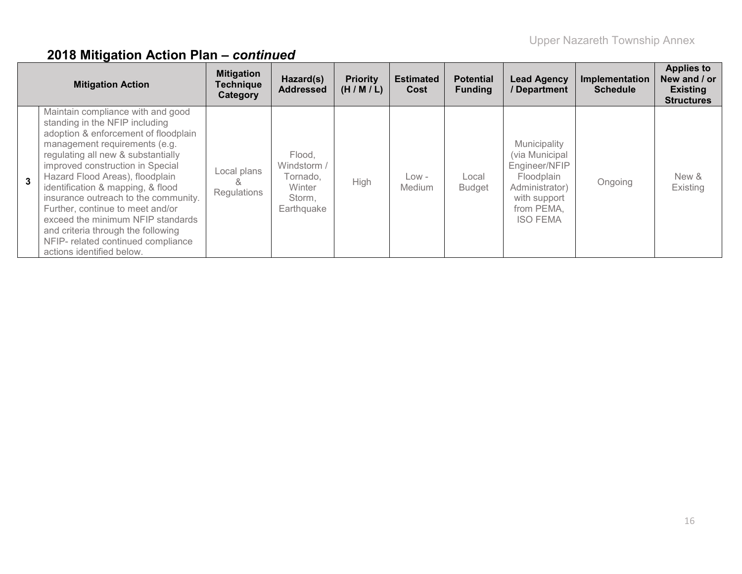|   | <b>Mitigation Action</b>                                                                                                                                                                                                                                                                                                                                                                                                                                                                                                 | <b>Mitigation</b><br><b>Technique</b><br>Category | Hazard(s)<br><b>Addressed</b>                                       | <b>Priority</b><br>(H/M/L) | <b>Estimated</b><br>Cost | <b>Potential</b><br><b>Funding</b> | <b>Lead Agency</b><br>/ Department                                                                                               | Implementation<br><b>Schedule</b> | <b>Applies to</b><br>New and / or<br><b>Existing</b><br><b>Structures</b> |
|---|--------------------------------------------------------------------------------------------------------------------------------------------------------------------------------------------------------------------------------------------------------------------------------------------------------------------------------------------------------------------------------------------------------------------------------------------------------------------------------------------------------------------------|---------------------------------------------------|---------------------------------------------------------------------|----------------------------|--------------------------|------------------------------------|----------------------------------------------------------------------------------------------------------------------------------|-----------------------------------|---------------------------------------------------------------------------|
| 3 | Maintain compliance with and good<br>standing in the NFIP including<br>adoption & enforcement of floodplain<br>management requirements (e.g.<br>regulating all new & substantially<br>improved construction in Special<br>Hazard Flood Areas), floodplain<br>identification & mapping, & flood<br>insurance outreach to the community.<br>Further, continue to meet and/or<br>exceed the minimum NFIP standards<br>and criteria through the following<br>NFIP- related continued compliance<br>actions identified below. | Local plans<br>Regulations                        | Flood,<br>Windstorm /<br>Tornado.<br>Winter<br>Storm,<br>Earthquake | High                       | $Low -$<br><b>Medium</b> | Local<br><b>Budget</b>             | Municipality<br>(via Municipal<br>Engineer/NFIP<br>Floodplain<br>Administrator)<br>with support<br>from PEMA,<br><b>ISO FEMA</b> | Ongoing                           | New &<br>Existing                                                         |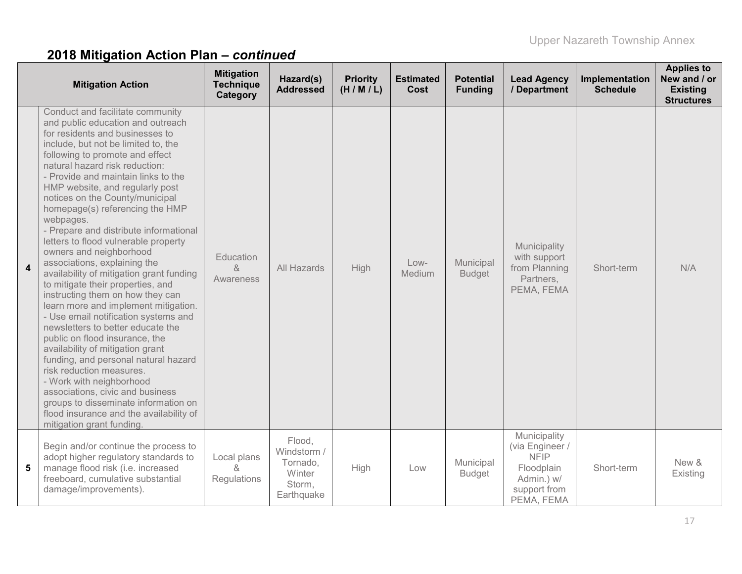|                | <b>Mitigation Action</b>                                                                                                                                                                                                                                                                                                                                                                                                                                                                                                                                                                                                                                                                                                                                                                                                                                                                                                                                                                                                                                                                           | <b>Mitigation</b><br><b>Technique</b><br>Category | Hazard(s)<br><b>Addressed</b>                                       | <b>Priority</b><br>(H/M/L) | <b>Estimated</b><br><b>Cost</b> | <b>Potential</b><br><b>Funding</b> | <b>Lead Agency</b><br>/ Department                                                                       | Implementation<br><b>Schedule</b> | <b>Applies to</b><br>New and / or<br><b>Existing</b><br><b>Structures</b> |
|----------------|----------------------------------------------------------------------------------------------------------------------------------------------------------------------------------------------------------------------------------------------------------------------------------------------------------------------------------------------------------------------------------------------------------------------------------------------------------------------------------------------------------------------------------------------------------------------------------------------------------------------------------------------------------------------------------------------------------------------------------------------------------------------------------------------------------------------------------------------------------------------------------------------------------------------------------------------------------------------------------------------------------------------------------------------------------------------------------------------------|---------------------------------------------------|---------------------------------------------------------------------|----------------------------|---------------------------------|------------------------------------|----------------------------------------------------------------------------------------------------------|-----------------------------------|---------------------------------------------------------------------------|
| $\overline{4}$ | Conduct and facilitate community<br>and public education and outreach<br>for residents and businesses to<br>include, but not be limited to, the<br>following to promote and effect<br>natural hazard risk reduction:<br>- Provide and maintain links to the<br>HMP website, and regularly post<br>notices on the County/municipal<br>homepage(s) referencing the HMP<br>webpages.<br>- Prepare and distribute informational<br>letters to flood vulnerable property<br>owners and neighborhood<br>associations, explaining the<br>availability of mitigation grant funding<br>to mitigate their properties, and<br>instructing them on how they can<br>learn more and implement mitigation.<br>- Use email notification systems and<br>newsletters to better educate the<br>public on flood insurance, the<br>availability of mitigation grant<br>funding, and personal natural hazard<br>risk reduction measures.<br>- Work with neighborhood<br>associations, civic and business<br>groups to disseminate information on<br>flood insurance and the availability of<br>mitigation grant funding. | Education<br>&<br>Awareness                       | All Hazards                                                         | High                       | $Low-$<br>Medium                | Municipal<br><b>Budget</b>         | Municipality<br>with support<br>from Planning<br>Partners,<br>PEMA, FEMA                                 | Short-term                        | N/A                                                                       |
| 5              | Begin and/or continue the process to<br>adopt higher regulatory standards to<br>manage flood risk (i.e. increased<br>freeboard, cumulative substantial<br>damage/improvements).                                                                                                                                                                                                                                                                                                                                                                                                                                                                                                                                                                                                                                                                                                                                                                                                                                                                                                                    | Local plans<br>&<br>Regulations                   | Flood,<br>Windstorm /<br>Tornado,<br>Winter<br>Storm,<br>Earthquake | High                       | Low                             | Municipal<br><b>Budget</b>         | Municipality<br>(via Engineer /<br><b>NFIP</b><br>Floodplain<br>Admin.) w/<br>support from<br>PEMA, FEMA | Short-term                        | New &<br>Existing                                                         |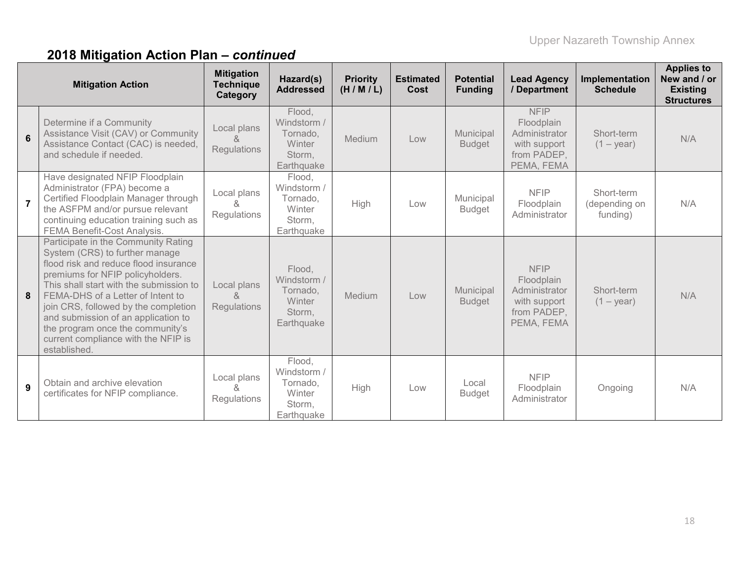|                | <b>Mitigation Action</b>                                                                                                                                                                                                                                                                                                                                                                                     | <b>Mitigation</b><br><b>Technique</b><br>Category | Hazard(s)<br><b>Addressed</b>                                              | <b>Priority</b><br>(H/M/L) | <b>Estimated</b><br>Cost | <b>Potential</b><br><b>Funding</b> | <b>Lead Agency</b><br>/ Department                                                      | Implementation<br><b>Schedule</b>       | <b>Applies to</b><br>New and / or<br><b>Existing</b><br><b>Structures</b> |
|----------------|--------------------------------------------------------------------------------------------------------------------------------------------------------------------------------------------------------------------------------------------------------------------------------------------------------------------------------------------------------------------------------------------------------------|---------------------------------------------------|----------------------------------------------------------------------------|----------------------------|--------------------------|------------------------------------|-----------------------------------------------------------------------------------------|-----------------------------------------|---------------------------------------------------------------------------|
| $6\phantom{a}$ | Determine if a Community<br>Assistance Visit (CAV) or Community<br>Assistance Contact (CAC) is needed,<br>and schedule if needed.                                                                                                                                                                                                                                                                            | Local plans<br><sub>R</sub><br>Regulations        | Flood,<br>Windstorm /<br>Tornado,<br>Winter<br>Storm,<br>Earthquake        | Medium                     | Low                      | Municipal<br><b>Budget</b>         | <b>NFIP</b><br>Floodplain<br>Administrator<br>with support<br>from PADEP,<br>PEMA, FEMA | Short-term<br>$(1 - year)$              | N/A                                                                       |
| $\overline{7}$ | Have designated NFIP Floodplain<br>Administrator (FPA) become a<br>Certified Floodplain Manager through<br>the ASFPM and/or pursue relevant<br>continuing education training such as<br>FEMA Benefit-Cost Analysis.                                                                                                                                                                                          | Local plans<br>Regulations                        | Flood,<br>Windstorm /<br>Tornado.<br>Winter<br>Storm,<br>Earthquake        | High                       | Low                      | Municipal<br><b>Budget</b>         | <b>NFIP</b><br>Floodplain<br>Administrator                                              | Short-term<br>(depending on<br>funding) | N/A                                                                       |
| 8              | Participate in the Community Rating<br>System (CRS) to further manage<br>flood risk and reduce flood insurance<br>premiums for NFIP policyholders.<br>This shall start with the submission to<br>FEMA-DHS of a Letter of Intent to<br>join CRS, followed by the completion<br>and submission of an application to<br>the program once the community's<br>current compliance with the NFIP is<br>established. | Local plans<br>$\mathcal{R}$<br>Regulations       | Flood,<br>Windstorm /<br>Tornado,<br><b>Winter</b><br>Storm,<br>Earthquake | Medium                     | Low                      | Municipal<br><b>Budget</b>         | <b>NFIP</b><br>Floodplain<br>Administrator<br>with support<br>from PADEP,<br>PEMA, FEMA | Short-term<br>$(1 - year)$              | N/A                                                                       |
| 9              | Obtain and archive elevation<br>certificates for NFIP compliance.                                                                                                                                                                                                                                                                                                                                            | Local plans<br>R,<br>Regulations                  | Flood,<br>Windstorm /<br>Tornado,<br>Winter<br>Storm,<br>Earthquake        | High                       | Low                      | Local<br><b>Budget</b>             | <b>NFIP</b><br>Floodplain<br>Administrator                                              | Ongoing                                 | N/A                                                                       |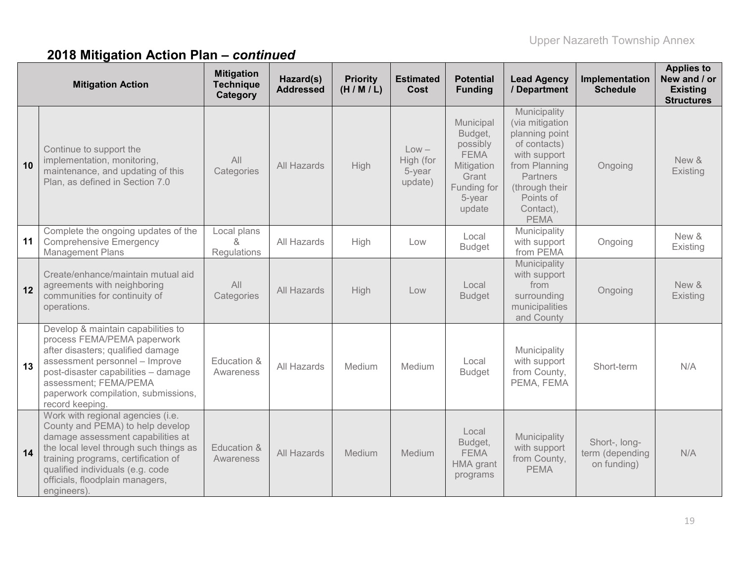|    | <b>Mitigation Action</b>                                                                                                                                                                                                                                                          | <b>Mitigation</b><br><b>Technique</b><br>Category | Hazard(s)<br><b>Addressed</b> | <b>Priority</b><br>(H/M/L) | <b>Estimated</b><br>Cost                  | <b>Potential</b><br><b>Funding</b>                                                                        | <b>Lead Agency</b><br>/ Department                                                                                                                                               | Implementation<br><b>Schedule</b>               | <b>Applies to</b><br>New and / or<br><b>Existing</b><br><b>Structures</b> |
|----|-----------------------------------------------------------------------------------------------------------------------------------------------------------------------------------------------------------------------------------------------------------------------------------|---------------------------------------------------|-------------------------------|----------------------------|-------------------------------------------|-----------------------------------------------------------------------------------------------------------|----------------------------------------------------------------------------------------------------------------------------------------------------------------------------------|-------------------------------------------------|---------------------------------------------------------------------------|
| 10 | Continue to support the<br>implementation, monitoring,<br>maintenance, and updating of this<br>Plan, as defined in Section 7.0                                                                                                                                                    | All<br>Categories                                 | All Hazards                   | High                       | $Low -$<br>High (for<br>5-year<br>update) | Municipal<br>Budget,<br>possibly<br><b>FEMA</b><br>Mitigation<br>Grant<br>Funding for<br>5-year<br>update | Municipality<br>(via mitigation<br>planning point<br>of contacts)<br>with support<br>from Planning<br><b>Partners</b><br>(through their<br>Points of<br>Contact),<br><b>PEMA</b> | Ongoing                                         | New &<br>Existing                                                         |
| 11 | Complete the ongoing updates of the<br><b>Comprehensive Emergency</b><br><b>Management Plans</b>                                                                                                                                                                                  | Local plans<br>ጼ<br><b>Regulations</b>            | All Hazards                   | High                       | Low                                       | Local<br><b>Budget</b>                                                                                    | Municipality<br>with support<br>from PEMA                                                                                                                                        | Ongoing                                         | New &<br>Existing                                                         |
| 12 | Create/enhance/maintain mutual aid<br>agreements with neighboring<br>communities for continuity of<br>operations.                                                                                                                                                                 | All<br>Categories                                 | All Hazards                   | High                       | Low                                       | Local<br><b>Budget</b>                                                                                    | Municipality<br>with support<br>from<br>surrounding<br>municipalities<br>and County                                                                                              | Ongoing                                         | New &<br>Existing                                                         |
| 13 | Develop & maintain capabilities to<br>process FEMA/PEMA paperwork<br>after disasters; qualified damage<br>assessment personnel - Improve<br>post-disaster capabilities - damage<br>assessment; FEMA/PEMA<br>paperwork compilation, submissions,<br>record keeping.                | Education &<br>Awareness                          | All Hazards                   | Medium                     | Medium                                    | Local<br><b>Budget</b>                                                                                    | Municipality<br>with support<br>from County,<br>PEMA, FEMA                                                                                                                       | Short-term                                      | N/A                                                                       |
| 14 | Work with regional agencies (i.e.<br>County and PEMA) to help develop<br>damage assessment capabilities at<br>the local level through such things as<br>training programs, certification of<br>qualified individuals (e.g. code<br>officials, floodplain managers,<br>engineers). | Education &<br>Awareness                          | All Hazards                   | Medium                     | Medium                                    | Local<br>Budget,<br><b>FEMA</b><br>HMA grant<br>programs                                                  | Municipality<br>with support<br>from County,<br><b>PEMA</b>                                                                                                                      | Short-, long-<br>term (depending<br>on funding) | N/A                                                                       |